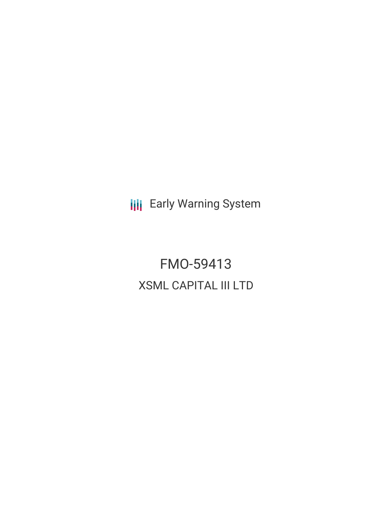**III** Early Warning System

FMO-59413 XSML CAPITAL III LTD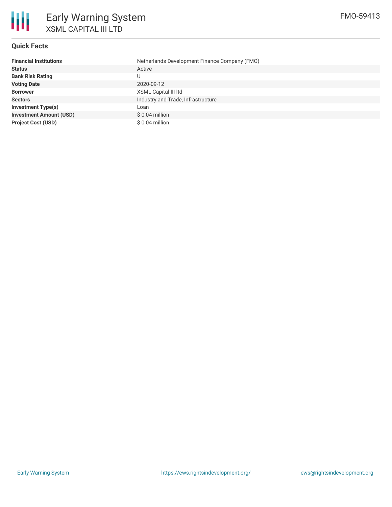

## **Quick Facts**

| <b>Financial Institutions</b>  | Netherlands Development Finance Company (FMO) |
|--------------------------------|-----------------------------------------------|
| <b>Status</b>                  | Active                                        |
| <b>Bank Risk Rating</b>        |                                               |
| <b>Voting Date</b>             | 2020-09-12                                    |
| <b>Borrower</b>                | XSML Capital III Itd                          |
| <b>Sectors</b>                 | Industry and Trade, Infrastructure            |
| <b>Investment Type(s)</b>      | Loan                                          |
| <b>Investment Amount (USD)</b> | $$0.04$ million                               |
| <b>Project Cost (USD)</b>      | \$0.04 million                                |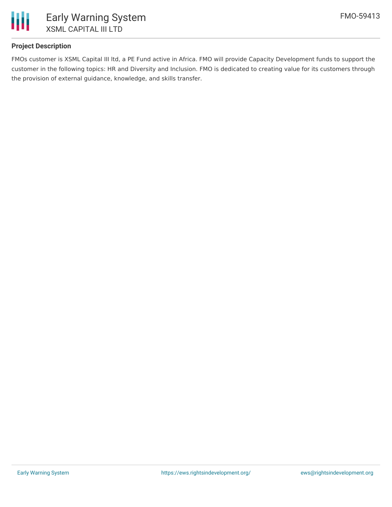

# **Project Description**

FMOs customer is XSML Capital III ltd, a PE Fund active in Africa. FMO will provide Capacity Development funds to support the customer in the following topics: HR and Diversity and Inclusion. FMO is dedicated to creating value for its customers through the provision of external guidance, knowledge, and skills transfer.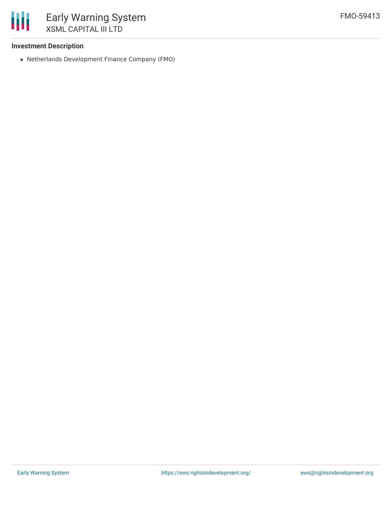

## **Investment Description**

Netherlands Development Finance Company (FMO)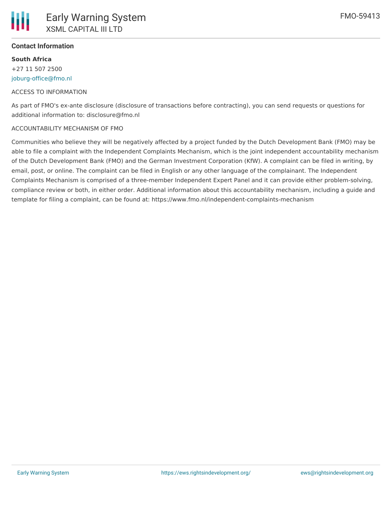

## **Contact Information**

**South Africa** +27 11 507 2500 [joburg-office@fmo.nl](mailto:joburg-office@fmo.nl)

#### ACCESS TO INFORMATION

As part of FMO's ex-ante disclosure (disclosure of transactions before contracting), you can send requests or questions for additional information to: disclosure@fmo.nl

#### ACCOUNTABILITY MECHANISM OF FMO

Communities who believe they will be negatively affected by a project funded by the Dutch Development Bank (FMO) may be able to file a complaint with the Independent Complaints Mechanism, which is the joint independent accountability mechanism of the Dutch Development Bank (FMO) and the German Investment Corporation (KfW). A complaint can be filed in writing, by email, post, or online. The complaint can be filed in English or any other language of the complainant. The Independent Complaints Mechanism is comprised of a three-member Independent Expert Panel and it can provide either problem-solving, compliance review or both, in either order. Additional information about this accountability mechanism, including a guide and template for filing a complaint, can be found at: https://www.fmo.nl/independent-complaints-mechanism